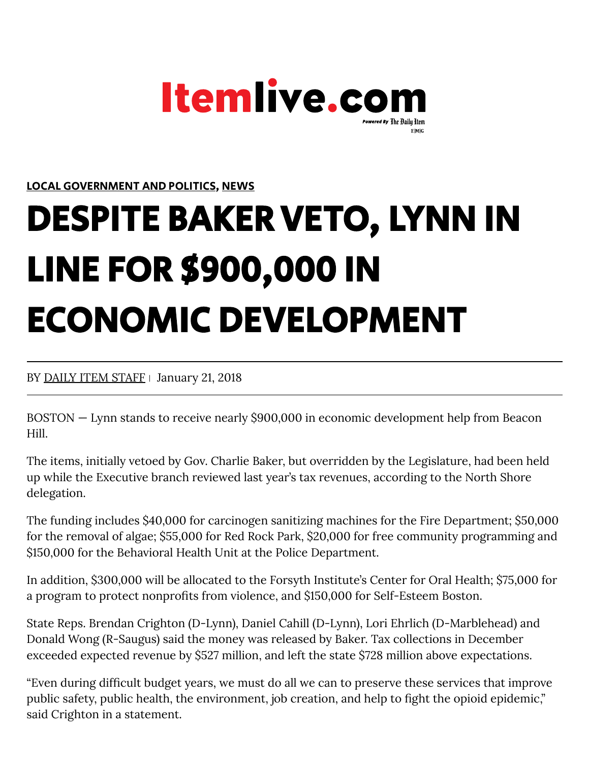

LOCAL [GOVERNMENT](https://www.itemlive.com/category/local-government-politics) AND POLITICS, [NEWS](https://www.itemlive.com/category/news)

## DESPITE BAKER VETO, LYNN IN LINE FOR \$900,000 IN ECONOMIC DEVELOPMENT

## BY DAILY ITEM [STAFF](https://www.itemlive.com/author/daily_staff/) | January 21, 2018

BOSTON — Lynn stands to receive nearly \$900,000 in economic development help from Beacon Hill.

The items, initially vetoed by Gov. Charlie Baker, but overridden by the Legislature, had been held up while the Executive branch reviewed last year's tax revenues, according to the North Shore delegation.

The funding includes \$40,000 for carcinogen sanitizing machines for the Fire Department; \$50,000 for the removal of algae; \$55,000 for Red Rock Park, \$20,000 for free community programming and \$150,000 for the Behavioral Health Unit at the Police Department.

In addition, \$300,000 will be allocated to the Forsyth Institute's Center for Oral Health; \$75,000 for a program to protect nonprofits from violence, and \$150,000 for Self-Esteem Boston.

State Reps. Brendan Crighton (D-Lynn), Daniel Cahill (D-Lynn), Lori Ehrlich (D-Marblehead) and Donald Wong (R-Saugus) said the money was released by Baker. Tax collections in December exceeded expected revenue by \$527 million, and left the state \$728 million above expectations.

"Even during difcult budget years, we must do all we can to preserve these services that improve public safety, public health, the environment, job creation, and help to fight the opioid epidemic," said Crighton in a statement.